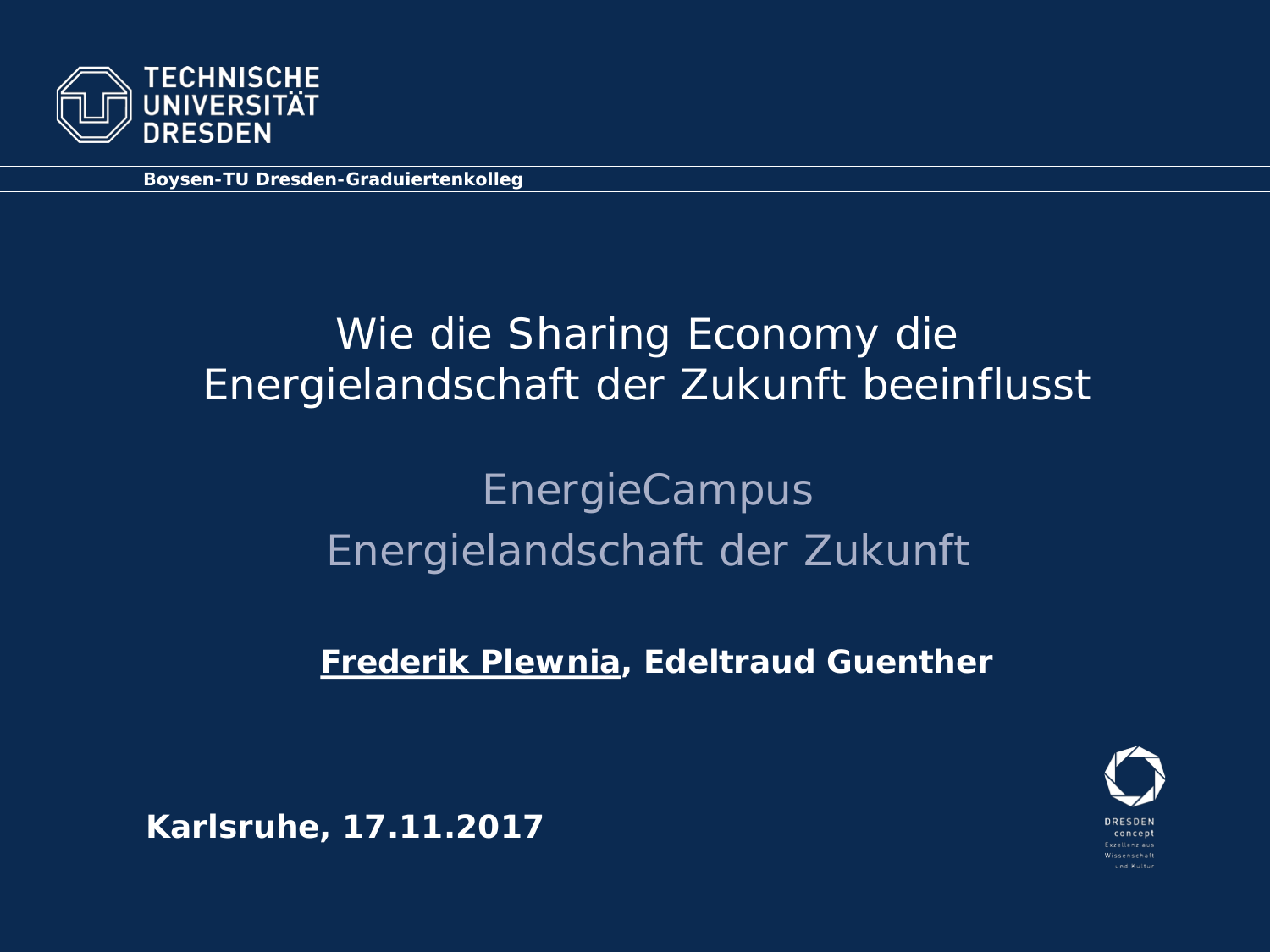

**Boysen-TU Dresden-Graduiertenkolleg**

### Wie die Sharing Economy die Energielandschaft der Zukunft beeinflusst

## **EnergieCampus** Energielandschaft der Zukunft

**Frederik Plewnia, Edeltraud Guenther**



**Karlsruhe, 17.11.2017**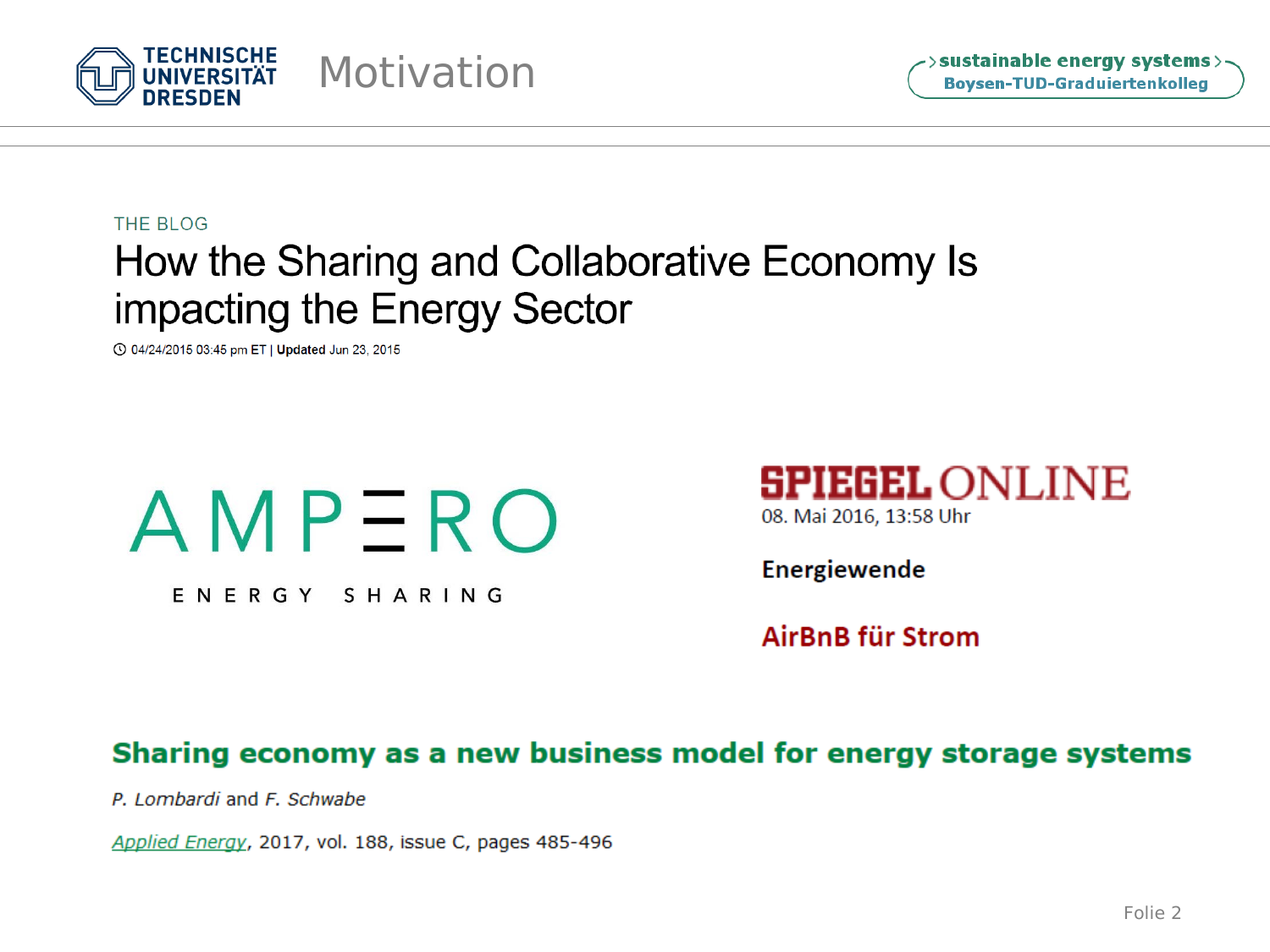

THE BLOG

### How the Sharing and Collaborative Economy Is impacting the Energy Sector

◯ 04/24/2015 03:45 pm ET | Updated Jun 23, 2015



ENERGY SHARING



Energiewende

AirBnB für Strom

#### Sharing economy as a new business model for energy storage systems

P. Lombardi and F. Schwabe

Applied Energy, 2017, vol. 188, issue C, pages 485-496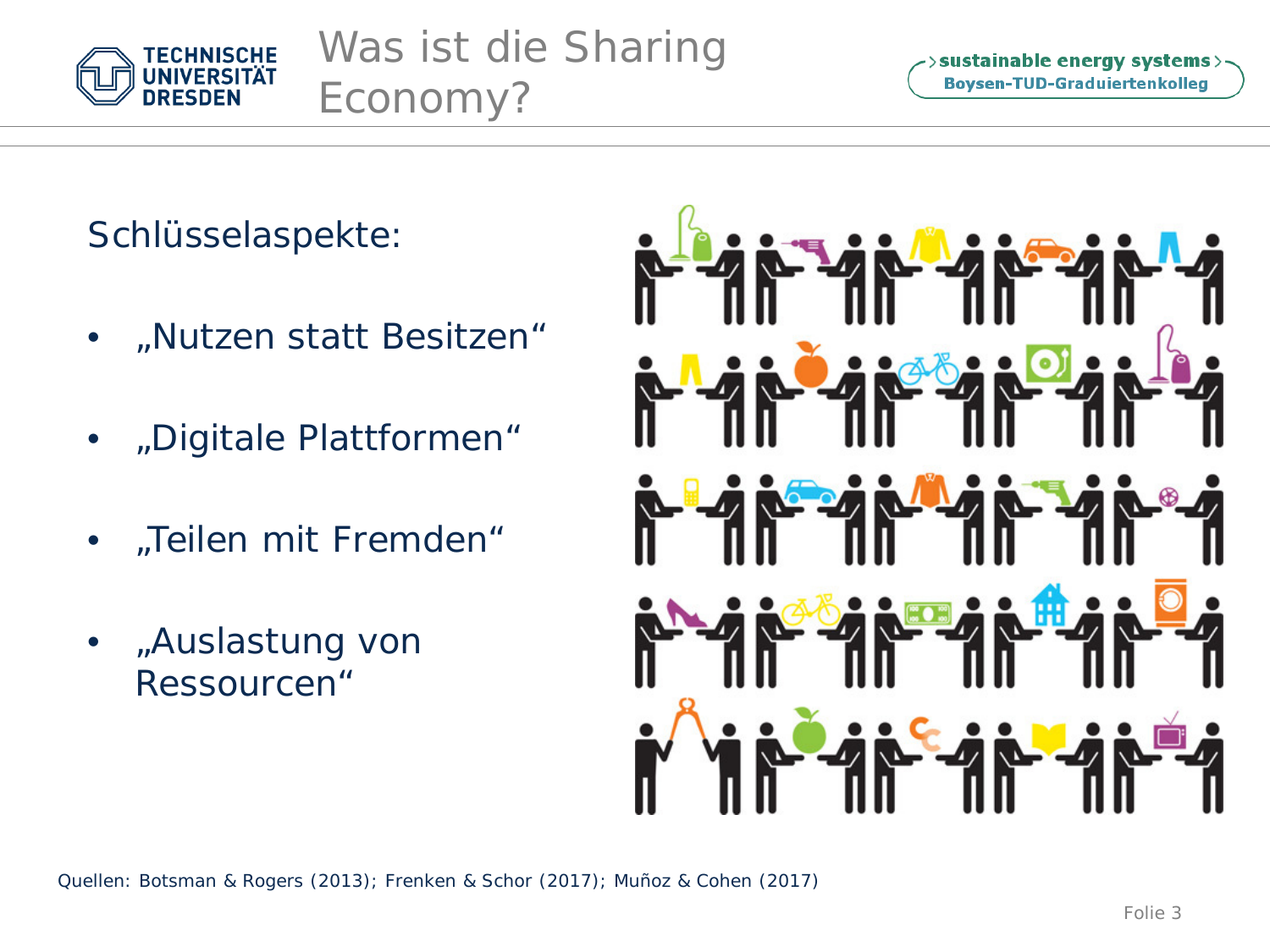

Was ist die Sharing Economy?

>sustainable energy systems> **Boysen-TUD-Graduiertenkolleg** 

Schlüsselaspekte:

- "Nutzen statt Besitzen"
- "Digitale Plattformen"
- "Teilen mit Fremden"
- "Auslastung von Ressourcen"



Quellen: Botsman & Rogers (2013); Frenken & Schor (2017); Muñoz & Cohen (2017)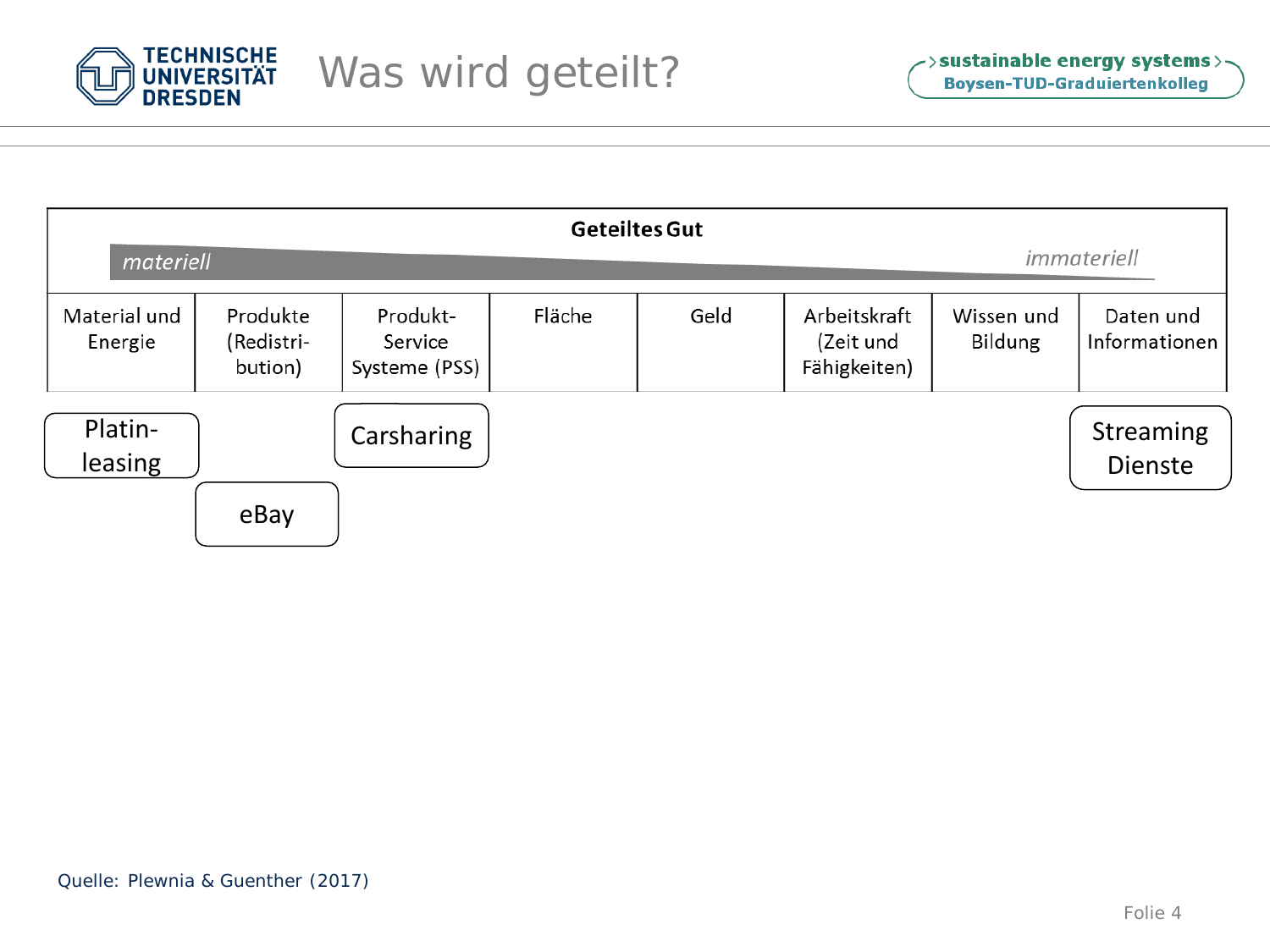

| <b>Geteiltes Gut</b><br>immateriell<br>materiell |                                   |                                      |                                                             |  |  |  |                                                     |  |  |  |
|--------------------------------------------------|-----------------------------------|--------------------------------------|-------------------------------------------------------------|--|--|--|-----------------------------------------------------|--|--|--|
| Material und<br>Energie                          | Produkte<br>(Redistri-<br>bution) | Produkt-<br>Service<br>Systeme (PSS) | Fläche<br>Geld<br>Arbeitskraft<br>(Zeit und<br>Fähigkeiten) |  |  |  | Daten und<br>Wissen und<br>Bildung<br>Informationen |  |  |  |
| Platin-<br>leasing                               |                                   | Carsharing                           |                                                             |  |  |  | Streaming<br><b>Dienste</b>                         |  |  |  |
|                                                  | eBay                              |                                      |                                                             |  |  |  |                                                     |  |  |  |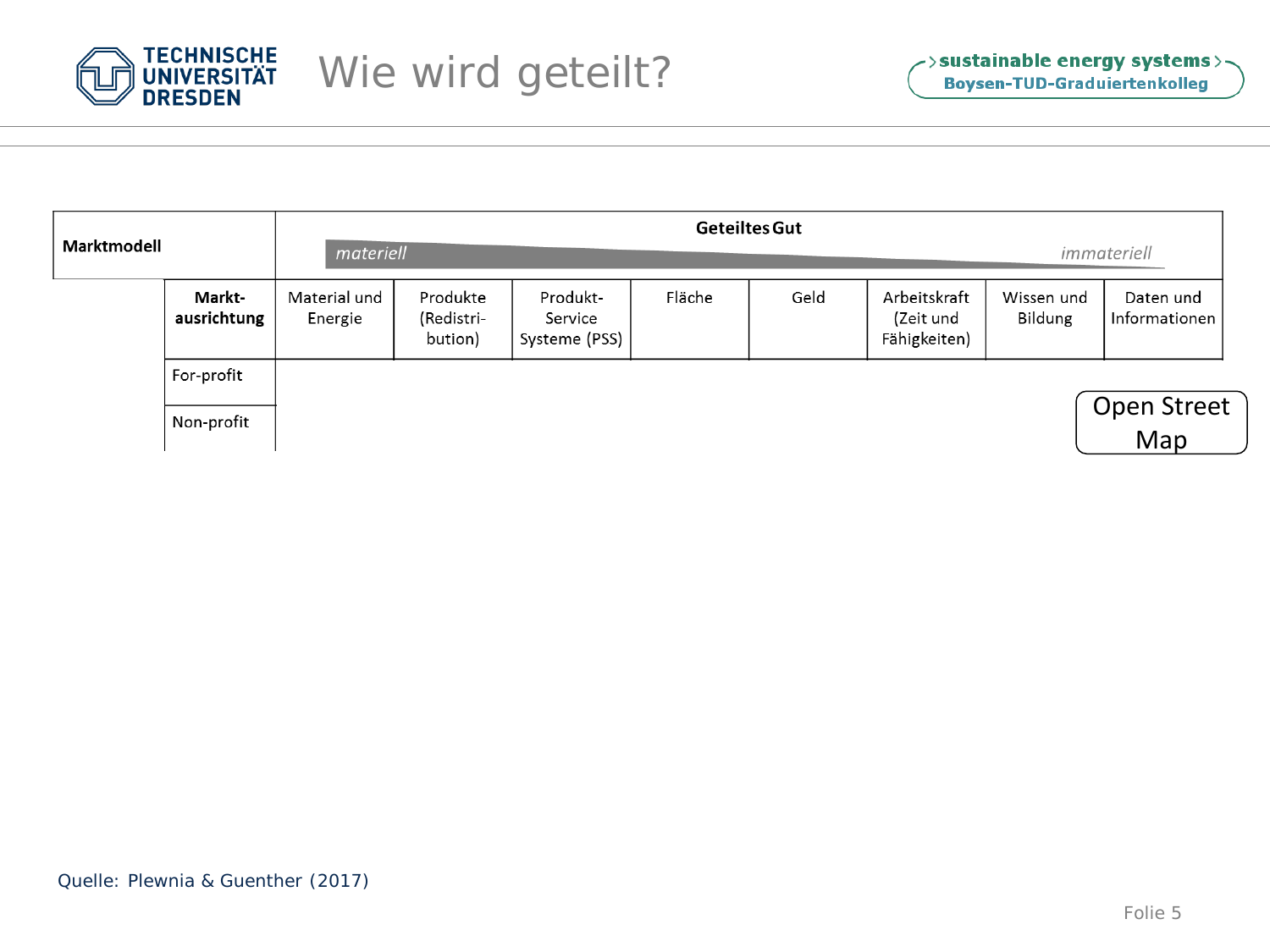

| Marktmodell |                       | <b>Geteiltes Gut</b><br>materiell |                                   |                                      |        |      |                                           |                       | immateriell                |  |
|-------------|-----------------------|-----------------------------------|-----------------------------------|--------------------------------------|--------|------|-------------------------------------------|-----------------------|----------------------------|--|
|             | Markt-<br>ausrichtung | Material und<br>Energie           | Produkte<br>(Redistri-<br>bution) | Produkt-<br>Service<br>Systeme (PSS) | Fläche | Geld | Arbeitskraft<br>(Zeit und<br>Fähigkeiten) | Wissen und<br>Bildung | Daten und<br>Informationen |  |
|             | For-profit            |                                   |                                   |                                      |        |      |                                           |                       |                            |  |
|             | Non-profit            |                                   |                                   |                                      |        |      |                                           |                       | Open Street<br>Map         |  |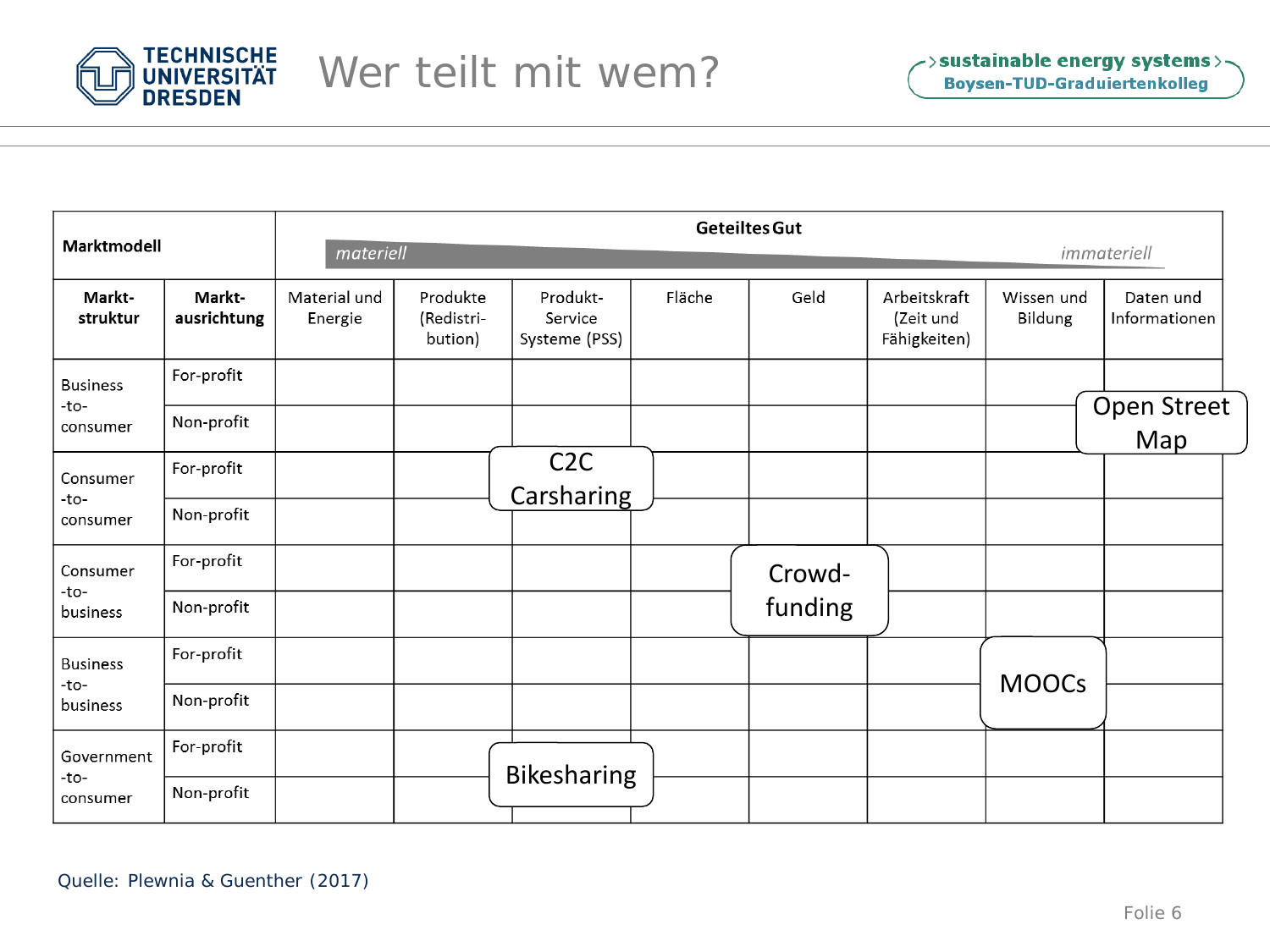

| Marktmodell                         |                       | <b>Geteiltes Gut</b>    |                                   |                                      |        |         |                                           |                       |                            |  |  |
|-------------------------------------|-----------------------|-------------------------|-----------------------------------|--------------------------------------|--------|---------|-------------------------------------------|-----------------------|----------------------------|--|--|
|                                     |                       | materiell               |                                   | immateriell                          |        |         |                                           |                       |                            |  |  |
| Markt-<br>struktur                  | Markt-<br>ausrichtung | Material und<br>Energie | Produkte<br>(Redistri-<br>bution) | Produkt-<br>Service<br>Systeme (PSS) | Fläche | Geld    | Arbeitskraft<br>(Zeit und<br>Fähigkeiten) | Wissen und<br>Bildung | Daten und<br>Informationen |  |  |
| <b>Business</b>                     | For-profit            |                         |                                   |                                      |        |         |                                           |                       |                            |  |  |
| -to-<br>consumer                    | Non-profit            |                         |                                   |                                      |        |         |                                           |                       | Open Street<br>Map         |  |  |
| Consumer                            | For-profit            |                         |                                   | C <sub>2</sub> C<br>Carsharing       |        |         |                                           |                       |                            |  |  |
| -to-<br>consumer                    | Non-profit            |                         |                                   |                                      |        |         |                                           |                       |                            |  |  |
| Consumer                            | For-profit            |                         |                                   |                                      |        | Crowd-  |                                           |                       |                            |  |  |
| -to-<br>business                    | Non-profit            |                         |                                   |                                      |        | funding |                                           |                       |                            |  |  |
| <b>Business</b><br>-to-<br>business | For-profit            |                         |                                   |                                      |        |         |                                           |                       |                            |  |  |
|                                     | Non-profit            |                         |                                   |                                      |        |         |                                           | <b>MOOCs</b>          |                            |  |  |
| Government                          | For-profit            |                         |                                   | <b>Bikesharing</b>                   |        |         |                                           |                       |                            |  |  |
| -to-<br>consumer                    | Non-profit            |                         |                                   |                                      |        |         |                                           |                       |                            |  |  |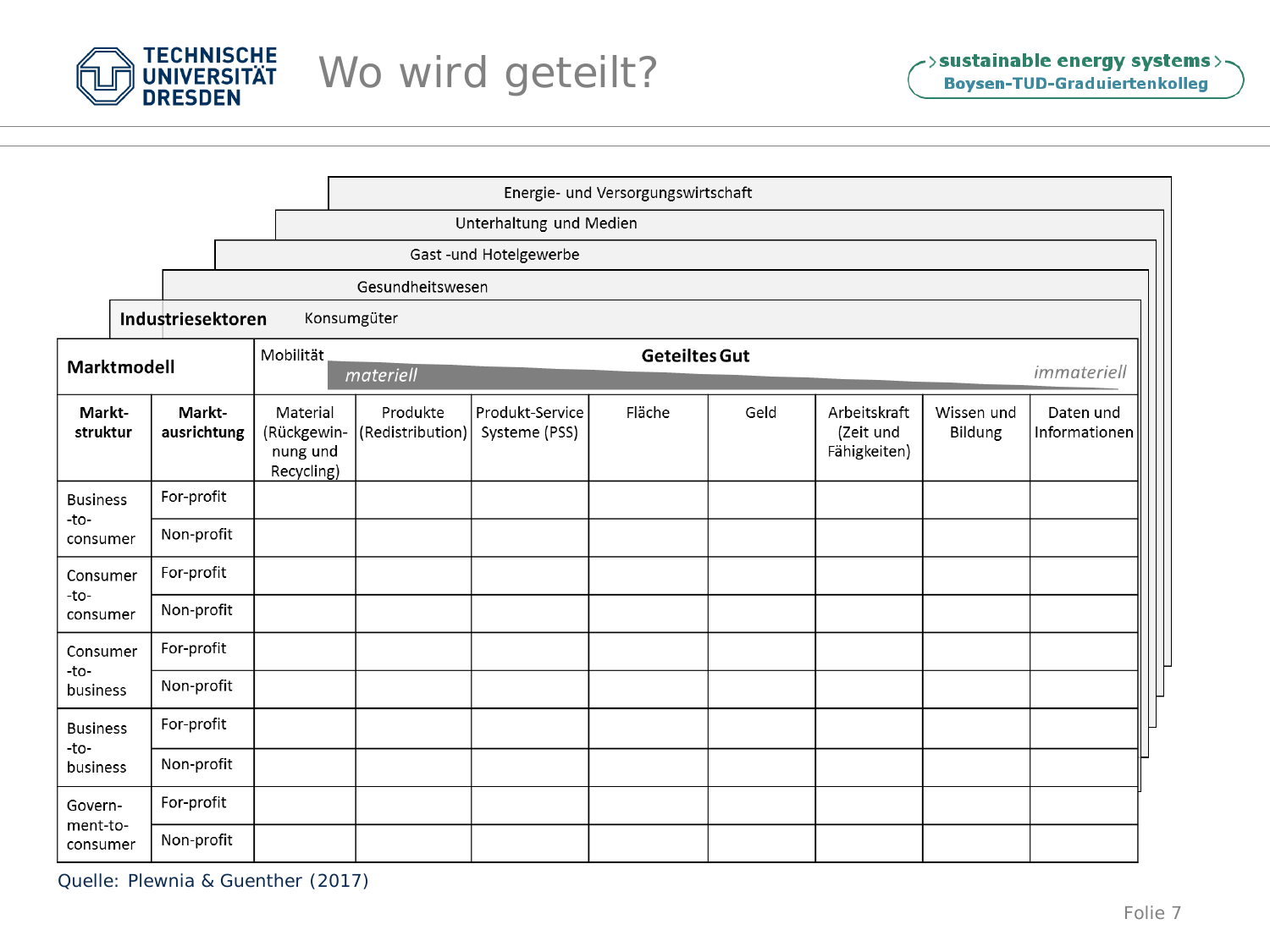

|                                                               |                                  |                       |                                                   |                              |                                  | Energie- und Versorgungswirtschaft |      |                                           |                       |                            |
|---------------------------------------------------------------|----------------------------------|-----------------------|---------------------------------------------------|------------------------------|----------------------------------|------------------------------------|------|-------------------------------------------|-----------------------|----------------------------|
|                                                               | Unterhaltung und Medien          |                       |                                                   |                              |                                  |                                    |      |                                           |                       |                            |
|                                                               | Gast -und Hotelgewerbe           |                       |                                                   |                              |                                  |                                    |      |                                           |                       |                            |
|                                                               | Gesundheitswesen                 |                       |                                                   |                              |                                  |                                    |      |                                           |                       |                            |
|                                                               | Industriesektoren<br>Konsumgüter |                       |                                                   |                              |                                  |                                    |      |                                           |                       |                            |
| <b>Geteiltes Gut</b><br>Mobilität<br>Marktmodell<br>materiell |                                  |                       |                                                   |                              |                                  |                                    |      |                                           | immateriell           |                            |
| Markt-<br>struktur                                            |                                  | Markt-<br>ausrichtung | Material<br>(Rückgewin-<br>nung und<br>Recycling) | Produkte<br>(Redistribution) | Produkt-Service<br>Systeme (PSS) | Fläche                             | Geld | Arbeitskraft<br>(Zeit und<br>Fähigkeiten) | Wissen und<br>Bildung | Daten und<br>Informationen |
| <b>Business</b>                                               |                                  | For-profit            |                                                   |                              |                                  |                                    |      |                                           |                       |                            |
| -to-<br>consumer                                              |                                  | Non-profit            |                                                   |                              |                                  |                                    |      |                                           |                       |                            |
| Consumer                                                      |                                  | For-profit            |                                                   |                              |                                  |                                    |      |                                           |                       |                            |
| -to-<br>consumer                                              |                                  | Non-profit            |                                                   |                              |                                  |                                    |      |                                           |                       |                            |
| Consumer<br>$-to-$                                            |                                  | For-profit            |                                                   |                              |                                  |                                    |      |                                           |                       |                            |
| business                                                      |                                  | Non-profit            |                                                   |                              |                                  |                                    |      |                                           |                       |                            |
| <b>Business</b><br>-to-<br>business                           |                                  | For-profit            |                                                   |                              |                                  |                                    |      |                                           |                       |                            |
|                                                               |                                  | Non-profit            |                                                   |                              |                                  |                                    |      |                                           |                       |                            |
| Govern-                                                       |                                  | For-profit            |                                                   |                              |                                  |                                    |      |                                           |                       |                            |
| ment-to-<br>consumer                                          |                                  | Non-profit            |                                                   |                              |                                  |                                    |      |                                           |                       |                            |

Quelle: Plewnia & Guenther (2017)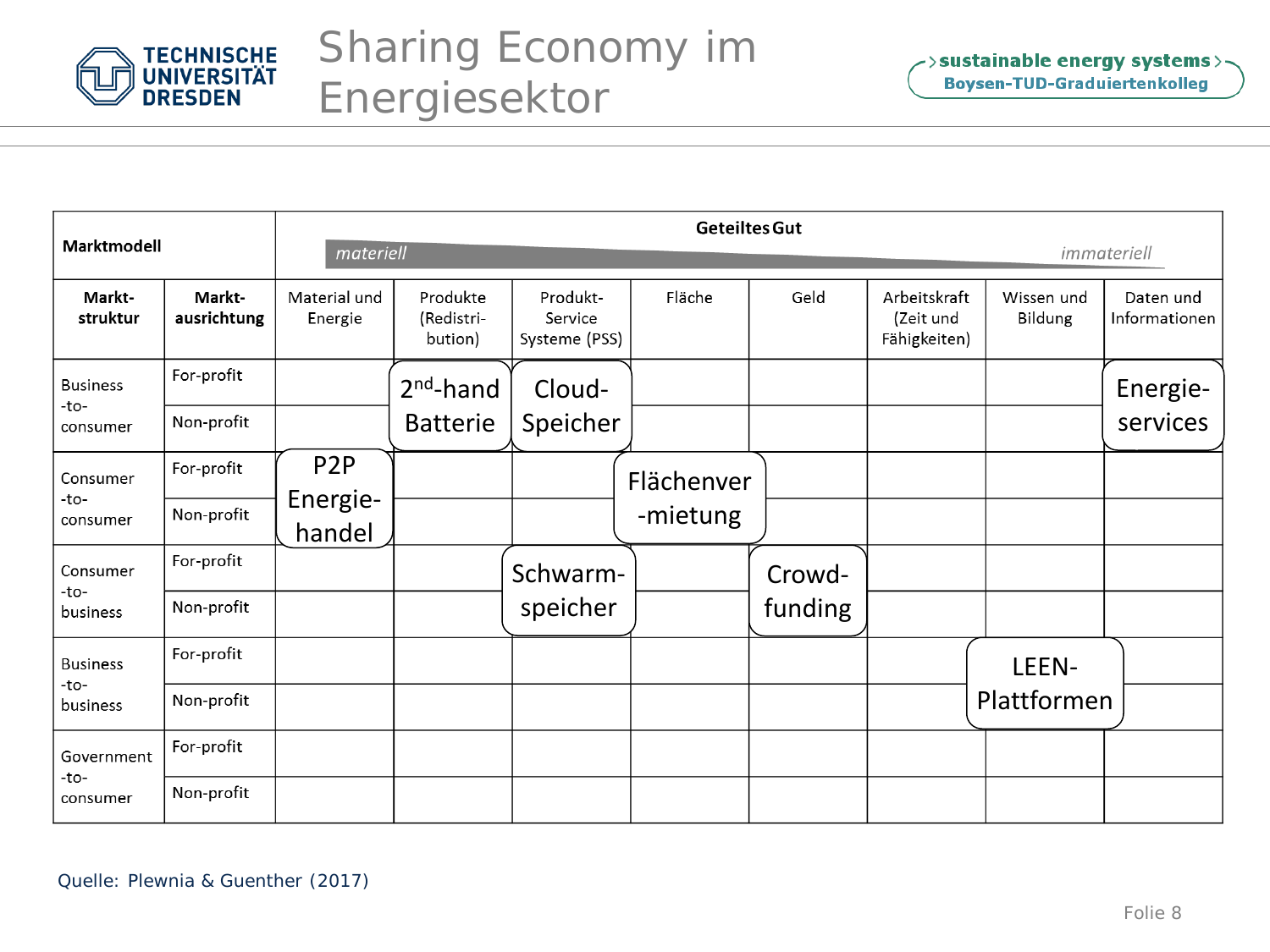

| Marktmodell                         |                       | <b>Geteiltes Gut</b>    |                                   |                                      |            |         |                                           |                                     |                            |  |
|-------------------------------------|-----------------------|-------------------------|-----------------------------------|--------------------------------------|------------|---------|-------------------------------------------|-------------------------------------|----------------------------|--|
|                                     |                       |                         | materiell                         |                                      |            |         |                                           |                                     |                            |  |
| Markt-<br>struktur                  | Markt-<br>ausrichtung | Material und<br>Energie | Produkte<br>(Redistri-<br>bution) | Produkt-<br>Service<br>Systeme (PSS) | Fläche     | Geld    | Arbeitskraft<br>(Zeit und<br>Fähigkeiten) | Wissen und<br>Bildung               | Daten und<br>Informationen |  |
| <b>Business</b><br>-to-             | For-profit            |                         | $2nd$ -hand                       | Cloud-                               |            |         |                                           |                                     | Energie-                   |  |
| consumer                            | Non-profit            |                         | <b>Batterie</b>                   | Speicher                             |            |         |                                           | immateriell<br>LEEN-<br>Plattformen | services                   |  |
| Consumer                            | For-profit            | P <sub>2</sub> P        |                                   |                                      | Flächenver |         |                                           |                                     |                            |  |
| -to-<br>consumer                    | Non-profit            | Energie-<br>handel      |                                   |                                      | -mietung   |         |                                           |                                     |                            |  |
| Consumer<br>-to-                    | For-profit            |                         |                                   | Schwarm-                             |            | Crowd-  |                                           |                                     |                            |  |
| business                            | Non-profit            |                         |                                   | speicher                             |            | funding |                                           |                                     |                            |  |
| <b>Business</b><br>-to-<br>business | For-profit            |                         |                                   |                                      |            |         |                                           |                                     |                            |  |
|                                     | Non-profit            |                         |                                   |                                      |            |         |                                           |                                     |                            |  |
| Government                          | For-profit            |                         |                                   |                                      |            |         |                                           |                                     |                            |  |
| -to-<br>consumer                    | Non-profit            |                         |                                   |                                      |            |         |                                           |                                     |                            |  |

Quelle: Plewnia & Guenther (2017)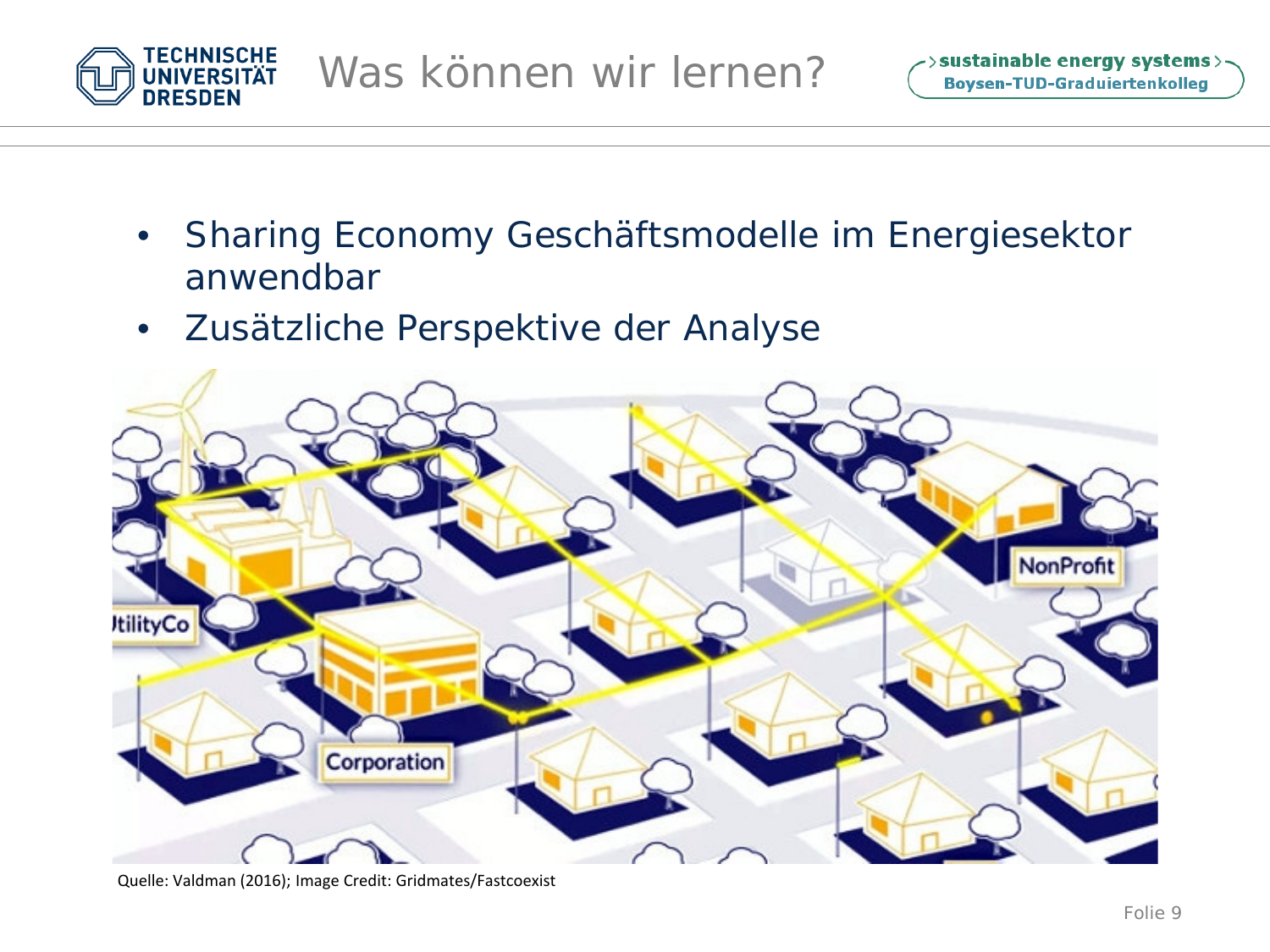

- Sharing Economy Geschäftsmodelle im Energiesektor anwendbar
- Zusätzliche Perspektive der Analyse



Quelle: Valdman (2016); Image Credit: Gridmates/Fastcoexist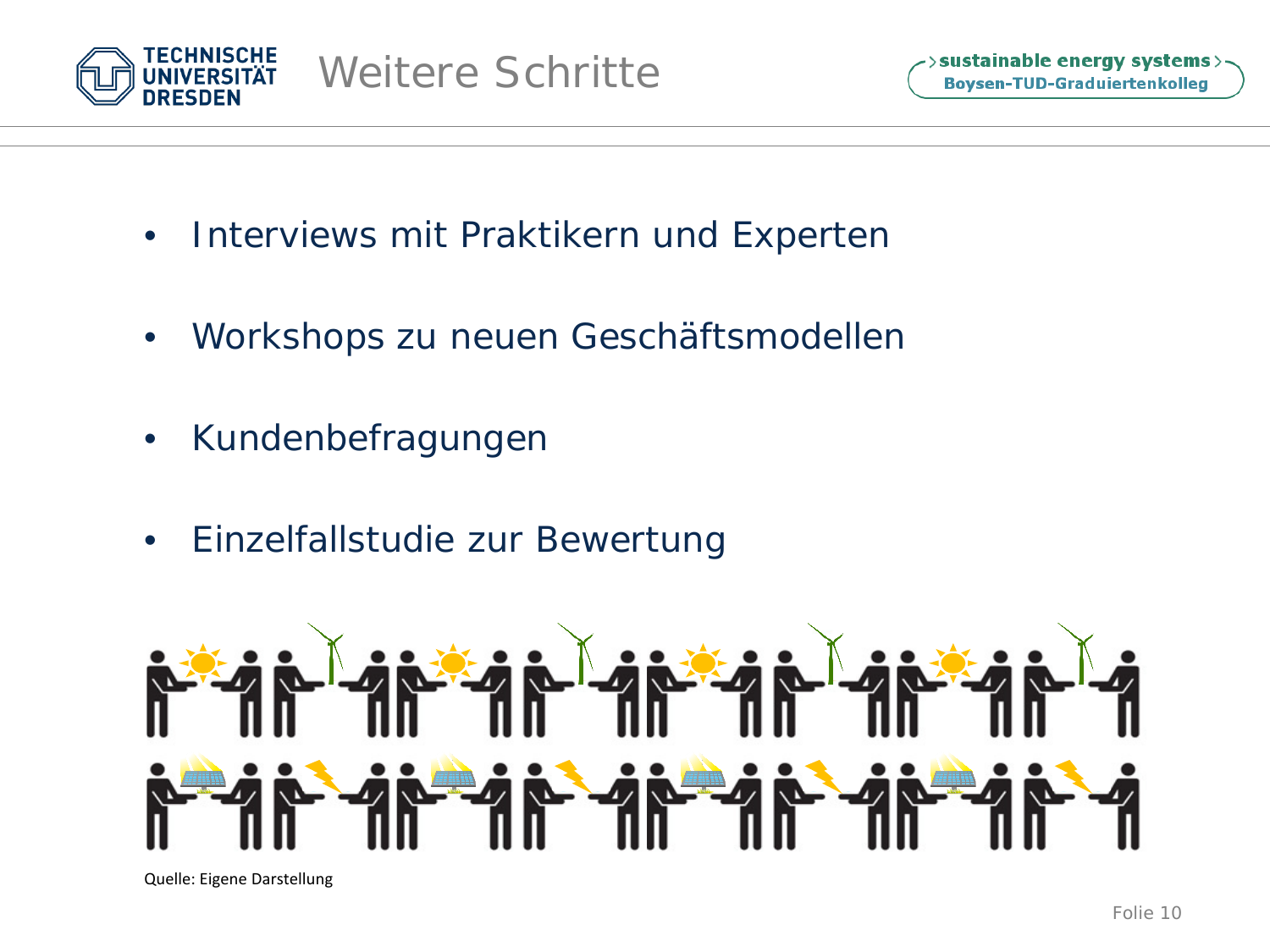

- Interviews mit Praktikern und Experten
- Workshops zu neuen Geschäftsmodellen
- Kundenbefragungen
- Einzelfallstudie zur Bewertung



Quelle: Eigene Darstellung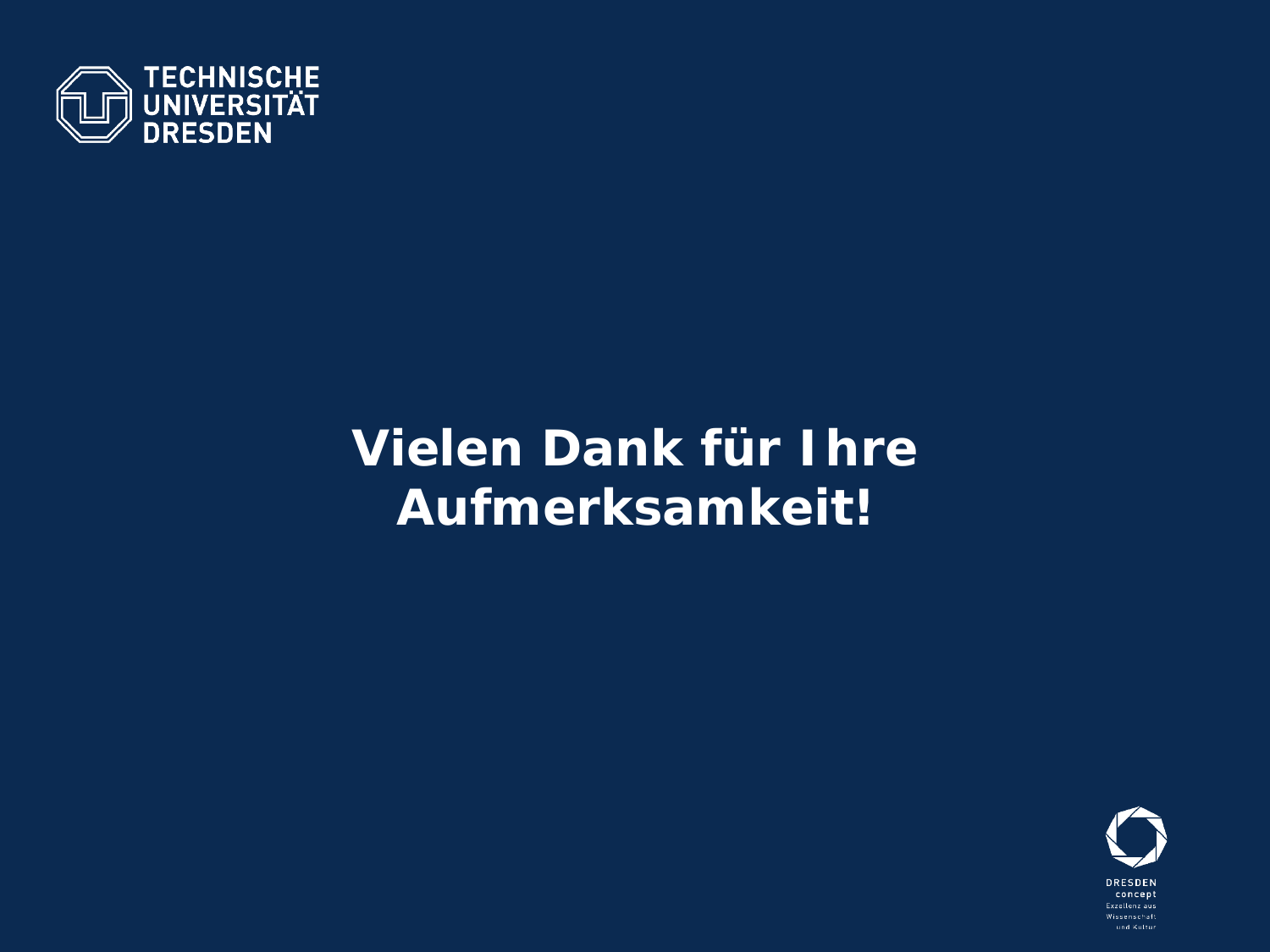

# Vielen Dank für Ihre Aufmerksamkeit!

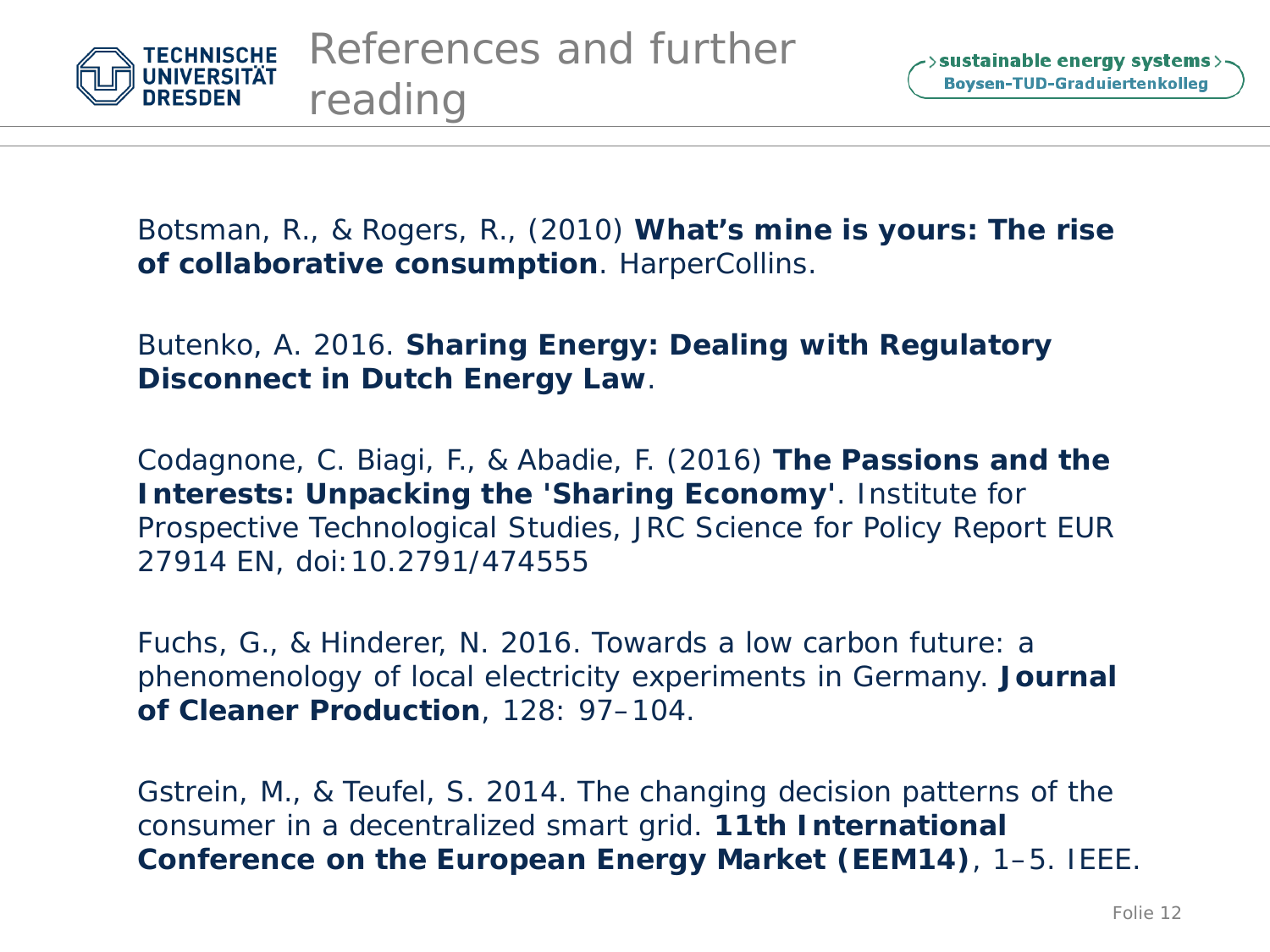

Botsman, R., & Rogers, R., (2010) *What's mine is yours: The rise of collaborative consumption*. HarperCollins.

#### Butenko, A. 2016. *Sharing Energy: Dealing with Regulatory Disconnect in Dutch Energy Law*.

Codagnone, C. Biagi, F., & Abadie, F. (2016) **The Passions and the Interests: Unpacking the 'Sharing Economy'***.* Institute for Prospective Technological Studies, JRC Science for Policy Report EUR 27914 EN, doi:10.2791/474555

Fuchs, G., & Hinderer, N. 2016. Towards a low carbon future: a phenomenology of local electricity experiments in Germany. *Journal of Cleaner Production*, 128: 97–104.

Gstrein, M., & Teufel, S. 2014. The changing decision patterns of the consumer in a decentralized smart grid. *11th International Conference on the European Energy Market (EEM14)*, 1–5. IEEE.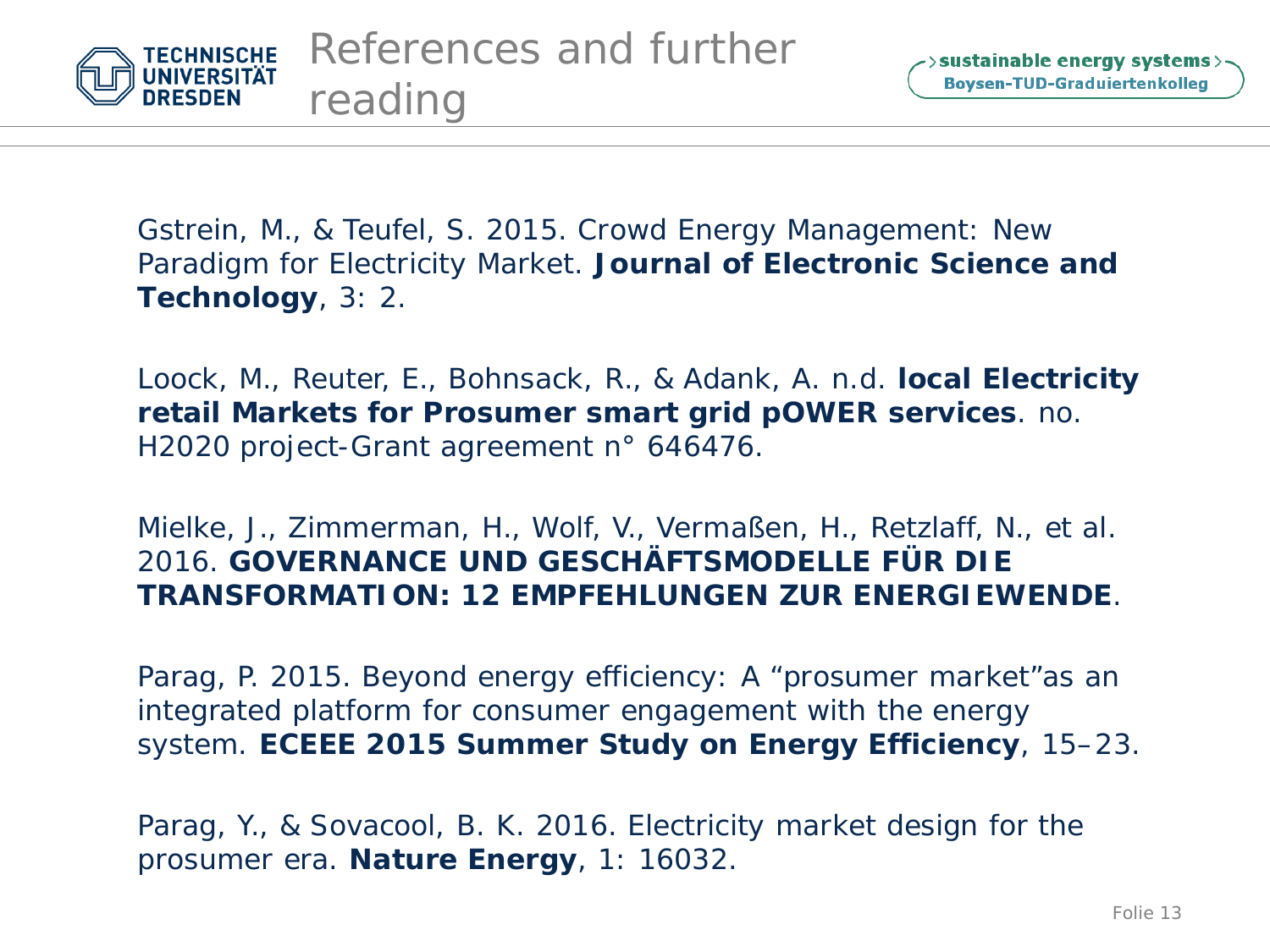

Gstrein, M., & Teufel, S. 2015. Crowd Energy Management: New Paradigm for Electricity Market. *Journal of Electronic Science and Technology*, 3: 2.

Loock, M., Reuter, E., Bohnsack, R., & Adank, A. n.d. *local Electricity retail Markets for Prosumer smart grid pOWER services*. no. H2020 project-Grant agreement n° 646476.

Mielke, J., Zimmerman, H., Wolf, V., Vermaßen, H., Retzlaff, N., et al. 2016. *GOVERNANCE UND GESCHÄFTSMODELLE FÜR DIE TRANSFORMATION: 12 EMPFEHLUNGEN ZUR ENERGIEWENDE*.

Parag, P. 2015. Beyond energy efficiency: A "prosumer market"as an integrated platform for consumer engagement with the energy system. *ECEEE 2015 Summer Study on Energy Efficiency*, 15–23.

Parag, Y., & Sovacool, B. K. 2016. Electricity market design for the prosumer era. *Nature Energy*, 1: 16032.